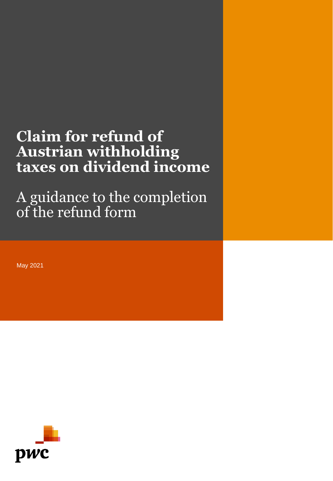# **Claim for refund of Austrian withholding taxes on dividend income**

A guidance to the completion of the refund form

May 2021

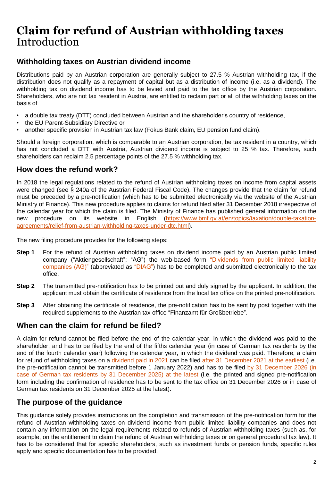## **Claim for refund of Austrian withholding taxes** Introduction

### **Withholding taxes on Austrian dividend income**

Distributions paid by an Austrian corporation are generally subject to 27.5 % Austrian withholding tax, if the distribution does not qualify as a repayment of capital but as a distribution of income (i.e. as a dividend). The withholding tax on dividend income has to be levied and paid to the tax office by the Austrian corporation. Shareholders, who are not tax resident in Austria, are entitled to reclaim part or all of the withholding taxes on the basis of

- a double tax treaty (DTT) concluded between Austrian and the shareholder's country of residence,
- the EU Parent-Subsidiary Directive or
- another specific provision in Austrian tax law (Fokus Bank claim, EU pension fund claim).

Should a foreign corporation, which is comparable to an Austrian corporation, be tax resident in a country, which has not concluded a DTT with Austria, Austrian dividend income is subject to 25 % tax. Therefore, such shareholders can reclaim 2.5 percentage points of the 27.5 % withholding tax.

### **How does the refund work?**

In 2018 the legal regulations related to the refund of Austrian withholding taxes on income from capital assets were changed (see § 240a of the Austrian Federal Fiscal Code). The changes provide that the claim for refund must be preceded by a pre-notification (which has to be submitted electronically via the website of the Austrian Ministry of Finance). This new procedure applies to claims for refund filed after 31 December 2018 irrespective of the calendar year for which the claim is filed. The Ministry of Finance has published general information on the new procedure on its website in English (https://www.bmf.gv.at/en/topics/taxation/double-taxation[agreements/relief-from-austrian-withholding-taxes-under-dtc.html\).](https://www.bmf.gv.at/en/topics/taxation/double-taxation-agreements/relief-from-austrian-withholding-taxes-under-dtc.html)

The new filing procedure provides for the following steps:

- **Step 1** For the refund of Austrian withholding taxes on dividend income paid by an Austrian public limited company ("Aktiengesellschaft"; "AG") the web-based form "Dividends from public limited liability companies (AG)" (abbreviated as "DIAG") has to be completed and submitted electronically to the tax office.
- **Step 2** The transmitted pre-notification has to be printed out and duly signed by the applicant. In addition, the applicant must obtain the certificate of residence from the local tax office on the printed pre-notification.
- **Step 3** After obtaining the certificate of residence, the pre-notification has to be sent by post together with the required supplements to the Austrian tax office "Finanzamt für Großbetriebe".

### **When can the claim for refund be filed?**

A claim for refund cannot be filed before the end of the calendar year, in which the dividend was paid to the shareholder, and has to be filed by the end of the fifths calendar year (in case of German tax residents by the end of the fourth calendar year) following the calendar year, in which the dividend was paid. Therefore, a claim for refund of withholding taxes on a dividend paid in 2021 can be filed after 31 December 2021 at the earliest (i.e. the pre-notification cannot be transmitted before 1 January 2022) and has to be filed by 31 December 2026 (in case of German tax residents by 31 December 2025) at the latest (i.e. the printed and signed pre-notification form including the confirmation of residence has to be sent to the tax office on 31 December 2026 or in case of German tax residents on 31 December 2025 at the latest).

### **The purpose of the guidance**

This guidance solely provides instructions on the completion and transmission of the pre-notification form for the refund of Austrian withholding taxes on dividend income from public limited liability companies and does not contain any information on the legal requirements related to refunds of Austrian withholding taxes (such as, for example, on the entitlement to claim the refund of Austrian withholding taxes or on general procedural tax law). It has to be considered that for specific shareholders, such as investment funds or pension funds, specific rules apply and specific documentation has to be provided.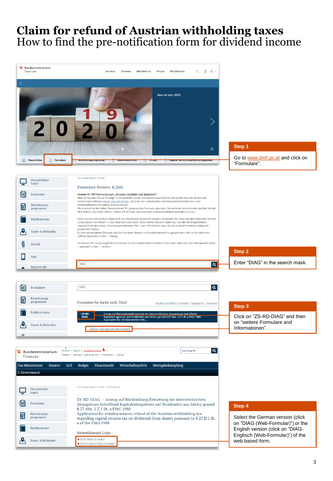## **Claim for refund of Austrian withholding taxes** How to find the pre-notification form for dividend income

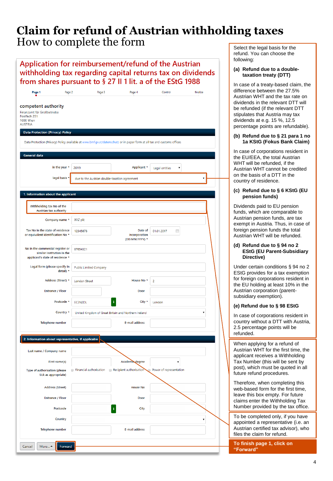### Application for reimbursement/refund of the Austrian withholding tax regarding capital returns tax on dividends from shares pursuant to § 27 II 1 lit. a of the EStG 1988

| Page 1<br>Page 2                                                                                                        | Page 3                                          | Page 4                                               | Control                 | finalize |  |  |  |
|-------------------------------------------------------------------------------------------------------------------------|-------------------------------------------------|------------------------------------------------------|-------------------------|----------|--|--|--|
| competent authority<br>Finanzamt für Großbetriebe<br>Postfach 251<br><b>1000 Wien</b><br><b>AUSTRIA</b>                 |                                                 |                                                      |                         |          |  |  |  |
| <b>Data Protection (Privacy) Policy</b>                                                                                 |                                                 |                                                      |                         |          |  |  |  |
| Data Protection (Privacy) Policy available at www.bmf.gv.at/datenschutz or in paper form at all tax and customs offices |                                                 |                                                      |                         |          |  |  |  |
| <b>General data</b>                                                                                                     |                                                 |                                                      |                         |          |  |  |  |
| in the year *                                                                                                           | 2019                                            | Applicant *                                          | Legal entities<br>۷     |          |  |  |  |
| legal basis *                                                                                                           | due to the Austrian double-taxation agreement   |                                                      |                         |          |  |  |  |
|                                                                                                                         |                                                 |                                                      |                         |          |  |  |  |
| 1. Information about the applicant                                                                                      |                                                 |                                                      |                         |          |  |  |  |
| Withholding tax No of the<br>Austrian tax authority                                                                     |                                                 |                                                      |                         |          |  |  |  |
| Company name *                                                                                                          | XYZ plc                                         |                                                      |                         |          |  |  |  |
| Tax No in the state of residence<br>or equivalent identification No *                                                   | 12345678                                        | Date of<br>incorporation                             | Ë<br>01.01.2017         |          |  |  |  |
|                                                                                                                         |                                                 | (DD.MM.YYYY) *                                       |                         |          |  |  |  |
| No in the commercial register or<br>similar institution in the<br>applicant's state of residence *                      | 87654321                                        |                                                      |                         |          |  |  |  |
| Legal form (please specify in<br>$detail)$ *                                                                            | <b>Public Limited Company</b>                   |                                                      |                         |          |  |  |  |
| Address (Street) *                                                                                                      | <b>London Street</b>                            | House No *                                           | 2                       |          |  |  |  |
| <b>Entrance / Floor</b>                                                                                                 |                                                 | Door                                                 |                         |          |  |  |  |
| Postcode *                                                                                                              | EC2N2DL                                         | i<br>City $*$                                        | London                  |          |  |  |  |
| Country *                                                                                                               |                                                 | United Kingdom of Great Britain and Northern Ireland |                         |          |  |  |  |
| <b>Telephone number</b>                                                                                                 |                                                 | E-mail address                                       |                         |          |  |  |  |
|                                                                                                                         |                                                 |                                                      |                         |          |  |  |  |
| 2. Information about representative, if applicable                                                                      |                                                 |                                                      |                         |          |  |  |  |
| Last name / Company name                                                                                                |                                                 |                                                      |                         |          |  |  |  |
| First name(s)                                                                                                           |                                                 | Academic degree                                      |                         |          |  |  |  |
| Type of authorisation (please<br>tick as appropriate)                                                                   | Financial authorisation Recipient authorisation | ◡                                                    | Power of representation |          |  |  |  |
| <b>Address (Street)</b>                                                                                                 |                                                 | <b>House No</b>                                      |                         |          |  |  |  |
| <b>Entrance / Floor</b>                                                                                                 |                                                 | Door                                                 |                         |          |  |  |  |
| Postcode                                                                                                                |                                                 | i<br>City                                            |                         |          |  |  |  |
| Country                                                                                                                 |                                                 |                                                      |                         | ,        |  |  |  |
| <b>Telephone number</b>                                                                                                 |                                                 | E-mail address                                       |                         |          |  |  |  |
|                                                                                                                         |                                                 |                                                      |                         |          |  |  |  |

Select the legal basis for the refund. You can choose the following:

#### **(a) Refund due to a doubletaxation treaty (DTT)**

In case of a treaty-based claim, the difference between the 27.5% Austrian WHT and the tax rate on dividends in the relevant DTT will be refunded (if the relevant DTT stipulates that Austria may tax dividends at e.g. 15 %, 12.5 percentage points are refundable).

#### **(b) Refund due to § 21 para 1 no 1a KStG (Fokus Bank Claim)**

In case of corporations resident in the EU/EEA, the total Austrian WHT will be refunded, if the Austrian WHT cannot be credited on the basis of a DTT in the country of residence.

#### **(c) Refund due to § 6 KStG (EU pension funds)**

Dividends paid to EU pension funds, which are comparable to Austrian pension funds, are tax exempt in Austria. Thus, in case of foreign pension funds the total Austrian WHT will be refunded.

#### **(d) Refund due to § 94 no 2 EStG (EU Parent-Subsidiary Directive)**

Under certain conditions § 94 no 2 EStG provides for a tax exemption for foreign corporations resident in the EU holding at least 10% in the Austrian corporation (parentsubsidiary exemption).

#### **(e) Refund due to § 98 EStG**

In case of corporations resident in country without a DTT with Austria, 2.5 percentage points will be refunded.

When applying for a refund of Austrian WHT for the first time, the applicant receives a Withholding Tax Number (this will be sent by post), which must be quoted in all future refund procedures.

Therefore, when completing this web-based form for the first time, leave this box empty. For future claims enter the Withholding Tax Number provided by the tax office.

To be completed only, if you have appointed a representative (i.e. an Austrian certified tax advisor), who files the claim for refund.

**To finish page 1, click on "Forward"**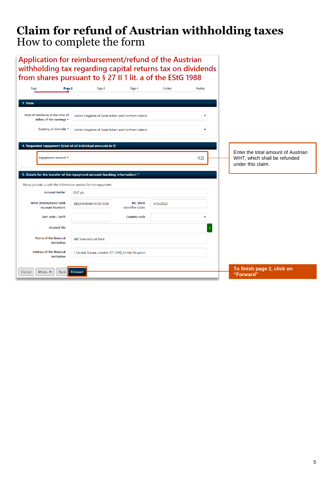| Application for reimbursement/refund of the Austrian<br>withholding tax regarding capital returns tax on dividends<br>from shares pursuant to § 27 II 1 lit. a of the EStG 1988 |                                                      |                                             |          |          |                                                   |
|---------------------------------------------------------------------------------------------------------------------------------------------------------------------------------|------------------------------------------------------|---------------------------------------------|----------|----------|---------------------------------------------------|
|                                                                                                                                                                                 |                                                      |                                             |          |          |                                                   |
| Page 2<br>Page 1                                                                                                                                                                | Page 3                                               | Page 4                                      | Control  | finalize |                                                   |
| 3. State                                                                                                                                                                        |                                                      |                                             |          |          |                                                   |
|                                                                                                                                                                                 |                                                      |                                             |          |          |                                                   |
| State of residence at the time of<br>inflow of the earnings *                                                                                                                   | United Kingdom of Great Britain and Northern Ireland |                                             |          |          |                                                   |
| Country of domicile *                                                                                                                                                           | United Kingdom of Great Britain and Northern Ireland |                                             |          |          |                                                   |
|                                                                                                                                                                                 |                                                      |                                             |          |          |                                                   |
| 4. Requested repayment (total of all individual amounts in €)                                                                                                                   |                                                      |                                             |          |          | Enter the total amount of Austrian                |
| Repayment amount *                                                                                                                                                              |                                                      |                                             |          | 1125     | WHT, which shall be refunded<br>under this claim. |
|                                                                                                                                                                                 |                                                      |                                             |          |          |                                                   |
| 5. Details for the transfer of the repayment amount (banking information) *                                                                                                     |                                                      |                                             |          |          |                                                   |
| Please provide us with the information needed for the repayment.                                                                                                                |                                                      |                                             |          |          |                                                   |
| <b>Account holder</b>                                                                                                                                                           | XYZ plc                                              |                                             |          |          |                                                   |
| <b>IBAN (International Bank</b><br><b>Account Number)</b>                                                                                                                       | GB29NWBK601613319268                                 | <b>BIC (Bank</b><br><b>Identifier Code)</b> | MIDLGB22 |          |                                                   |
| Sort code / Swift                                                                                                                                                               |                                                      | Country code                                |          |          |                                                   |
| <b>Account No</b>                                                                                                                                                               |                                                      |                                             |          |          |                                                   |
| Name of the financial<br>institution                                                                                                                                            | <b>ABC International Bank</b>                        |                                             |          |          |                                                   |
| <b>Address of the financial</b><br>institution                                                                                                                                  | 1 Canada Square, London, E11 2HQ, United Kingdom     |                                             |          |          |                                                   |
| Cancel<br>More $\triangleq$<br><b>Back</b>                                                                                                                                      | Forward                                              |                                             |          |          | To finish page 2, click on<br>"Forward"           |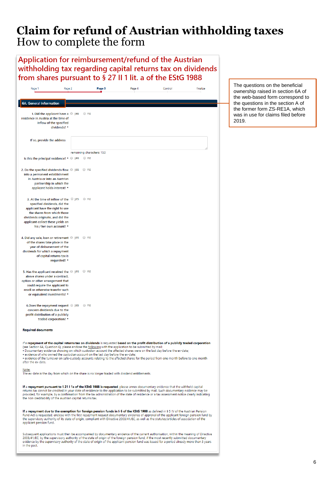| Application for reimbursement/refund of the Austrian<br>withholding tax regarding capital returns tax on dividends<br>from shares pursuant to § 27 II 1 lit. a of the EStG 1988                                                        |                                                         |                                                                                                                                                                                                                                                                                                                                                                                                                                                                                                                                                                                                           |        |         |          |                                                                                                          |
|----------------------------------------------------------------------------------------------------------------------------------------------------------------------------------------------------------------------------------------|---------------------------------------------------------|-----------------------------------------------------------------------------------------------------------------------------------------------------------------------------------------------------------------------------------------------------------------------------------------------------------------------------------------------------------------------------------------------------------------------------------------------------------------------------------------------------------------------------------------------------------------------------------------------------------|--------|---------|----------|----------------------------------------------------------------------------------------------------------|
| Page 1                                                                                                                                                                                                                                 | Page 2                                                  | Page 3                                                                                                                                                                                                                                                                                                                                                                                                                                                                                                                                                                                                    | Page 4 | Control | finalize | The questions on the beneficial<br>ownership raised in section 6A of<br>the web-based form correspond to |
| <b>6A.</b> General information                                                                                                                                                                                                         |                                                         |                                                                                                                                                                                                                                                                                                                                                                                                                                                                                                                                                                                                           |        |         |          | the questions in the section A of                                                                        |
| residence in Austria at the time of<br>inflow of the specified                                                                                                                                                                         | 1. Did the applicant have a $\circ$ yes<br>dividends? * | $\circ$ no                                                                                                                                                                                                                                                                                                                                                                                                                                                                                                                                                                                                |        |         |          | the former form ZS-RE1A, which<br>was in use for claims filed before<br>2019.                            |
| If so, provide the address                                                                                                                                                                                                             |                                                         |                                                                                                                                                                                                                                                                                                                                                                                                                                                                                                                                                                                                           |        |         |          |                                                                                                          |
|                                                                                                                                                                                                                                        |                                                         | remaining characters: 150                                                                                                                                                                                                                                                                                                                                                                                                                                                                                                                                                                                 |        |         |          |                                                                                                          |
| Is this the principal residence? * © yes                                                                                                                                                                                               |                                                         | $\circ$ no                                                                                                                                                                                                                                                                                                                                                                                                                                                                                                                                                                                                |        |         |          |                                                                                                          |
| 2. Do the specified dividends flow $\circledcirc$ yes<br>into a permanent establishment<br>in Austria or into an Austrian<br>partnership in which the<br>applicant holds interest? *                                                   |                                                         | $\circ$ no                                                                                                                                                                                                                                                                                                                                                                                                                                                                                                                                                                                                |        |         |          |                                                                                                          |
| 3. At the time of inflow of the<br>specified dividends, did the<br>applicant have the right to use<br>the shares from which those<br>dividends originate, and did the<br>applicant collect these yields on<br>his / her own account? * | $\circ$ yes                                             | $\circ$ no                                                                                                                                                                                                                                                                                                                                                                                                                                                                                                                                                                                                |        |         |          |                                                                                                          |
| 4. Did any sale, loan or retirement $\circ$ yes $\circ$ no<br>of the shares take place in the<br>year of disbursement of the<br>dividends for which a repayment<br>of capital returns tax is                                           | requested? *                                            |                                                                                                                                                                                                                                                                                                                                                                                                                                                                                                                                                                                                           |        |         |          |                                                                                                          |
| 5. Has the applicant received the O yes O no<br>above shares under a contract,<br>option or other arrangement that<br>could require the applicant to<br>resell or otherwise transfer such<br>or equivalent investments? *              |                                                         |                                                                                                                                                                                                                                                                                                                                                                                                                                                                                                                                                                                                           |        |         |          |                                                                                                          |
| 6. Does the repayment request <sup>o</sup> yes<br>concern dividends due to the<br>profit distribution of a publicly<br>traded corporation? *                                                                                           |                                                         | $\circ$ no                                                                                                                                                                                                                                                                                                                                                                                                                                                                                                                                                                                                |        |         |          |                                                                                                          |
| <b>Required documents</b>                                                                                                                                                                                                              |                                                         |                                                                                                                                                                                                                                                                                                                                                                                                                                                                                                                                                                                                           |        |         |          |                                                                                                          |
| after the ex-date.                                                                                                                                                                                                                     |                                                         | If a repayment of the capital returns tax on dividends is requested based on the profit distribution of a publicly traded corporation<br>(see Section 6A, Question 6), please enclose the following with the application to be submitted by mail:<br>. Documentary evidence showing on which custodian account the affected shares were on the last day before the ex-date;<br>• evidence of who owned the custodian account on the last day before the ex-date;<br>• evidence of the turnover on safe-custody accounts relating to the affected shares for the period from one month before to one month |        |         |          |                                                                                                          |
| Note:                                                                                                                                                                                                                                  |                                                         | The ex-date is the day from which on the share is no longer traded with dividend entitlements.                                                                                                                                                                                                                                                                                                                                                                                                                                                                                                            |        |         |          |                                                                                                          |
| the non-creditability of the Austrian capital returns tax.                                                                                                                                                                             |                                                         | If a repayment pursuant to § 2111a of the KStG 1988 is requested, please annex documentary evidence that the withheld capital<br>returns tax cannot be credited in your state of residence to the application to be submitted by mail. Such documentary evidence may be<br>provided, for example, by a confirmation from the tax administration of the state of residence or a tax assessment notice clearly indicating                                                                                                                                                                                   |        |         |          |                                                                                                          |
| applicant pension fund.                                                                                                                                                                                                                |                                                         | If a repayment due to the exemption for foreign pension funds in § 6 of the KStG 1988 as defined in § 5 IV of the Austrian Pension<br>Fund Act is requested, enclose with the first repayment request documentary evidence of approval of the applicant foreign pension fund by<br>the supervisory authority of its state of origin, compliant with Directive 2003/41/EC, as well as the statutes/articles of association of the                                                                                                                                                                          |        |         |          |                                                                                                          |
| in the past.                                                                                                                                                                                                                           |                                                         | Subsequent applications must then be accompanied by documentary evidence of the current authorisation, within the meaning of Directive<br>2003/41/EC, by the supervisory authority of the state of origin of the foreign pension fund, if the most recently submitted documentary<br>evidence by the supervisory authority of the state of origin of the applicant pension fund was issued for a period already more than 3 years                                                                                                                                                                         |        |         |          |                                                                                                          |
|                                                                                                                                                                                                                                        |                                                         |                                                                                                                                                                                                                                                                                                                                                                                                                                                                                                                                                                                                           |        |         |          |                                                                                                          |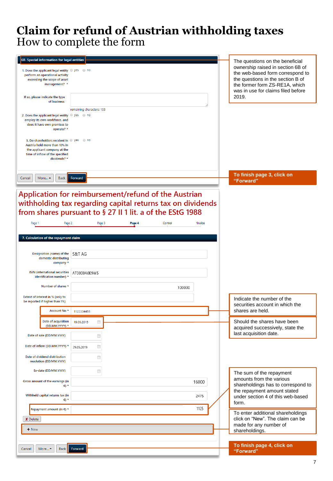| 6B. Special information for legal entities<br>1. Does the applicant legal entity $\circledcirc$ yes $\circledcirc$ no<br>perform an operational activity<br>exceeding the scope of asset<br>management? * |                                                                                                                                                                                                                                      | The questions on the beneficial<br>ownership raised in section 6B of<br>the web-based form correspond to<br>the questions in the section B of<br>the former form ZS-RE1A, which |
|-----------------------------------------------------------------------------------------------------------------------------------------------------------------------------------------------------------|--------------------------------------------------------------------------------------------------------------------------------------------------------------------------------------------------------------------------------------|---------------------------------------------------------------------------------------------------------------------------------------------------------------------------------|
| If so, please indicate the type<br>of business:                                                                                                                                                           |                                                                                                                                                                                                                                      | was in use for claims filed before<br>2019.                                                                                                                                     |
| 2. Does the applicant legal entity O yes O no<br>employ its own workforce, and<br>does it have own premises to<br>operate? *                                                                              | remaining characters: 133                                                                                                                                                                                                            |                                                                                                                                                                                 |
| 3. Do shareholders resident in @ yes<br>Austria hold more than 10% in<br>the applicant company at the<br>time of inflow of the specified<br>dividends? *                                                  | $\circ$ no                                                                                                                                                                                                                           |                                                                                                                                                                                 |
| Cancel<br>More -<br><b>Back</b>                                                                                                                                                                           | Forward                                                                                                                                                                                                                              | To finish page 3, click on<br>"Forward"                                                                                                                                         |
| Page 1                                                                                                                                                                                                    | Application for reimbursement/refund of the Austrian<br>withholding tax regarding capital returns tax on dividends<br>from shares pursuant to § 27 II 1 lit. a of the EStG 1988<br>Page 2<br>Page 3<br>Page 4<br>Control<br>finalize |                                                                                                                                                                                 |
|                                                                                                                                                                                                           |                                                                                                                                                                                                                                      |                                                                                                                                                                                 |
| 7. Calculation of the repayment claim                                                                                                                                                                     |                                                                                                                                                                                                                                      |                                                                                                                                                                                 |
|                                                                                                                                                                                                           |                                                                                                                                                                                                                                      |                                                                                                                                                                                 |
| Designation (name) of the<br>domestic distributing<br>company *                                                                                                                                           | S&T AG                                                                                                                                                                                                                               |                                                                                                                                                                                 |
| <b>ISIN</b> (international securities<br>identification number) *                                                                                                                                         | AT0000A0E9W5                                                                                                                                                                                                                         |                                                                                                                                                                                 |
| Number of shares *                                                                                                                                                                                        | 100000                                                                                                                                                                                                                               |                                                                                                                                                                                 |
| Extent of interest in % (only to<br>be reported if higher than 1%)                                                                                                                                        |                                                                                                                                                                                                                                      | Indicate the number of the<br>securities account in which the                                                                                                                   |
| Account No *                                                                                                                                                                                              | 1122334455                                                                                                                                                                                                                           | shares are held.                                                                                                                                                                |
| Date of acquisition<br>(DD.MM.YYYY) *                                                                                                                                                                     | n<br>19.09.2015                                                                                                                                                                                                                      | Should the shares have been<br>acquired successively, state the                                                                                                                 |
| Date of sale (DD.MM.YYYY)                                                                                                                                                                                 | Ë                                                                                                                                                                                                                                    | last acquisition date.                                                                                                                                                          |
| Date of inflow (DD.MM.YYYY) *                                                                                                                                                                             | Ë<br>29.05.2019                                                                                                                                                                                                                      |                                                                                                                                                                                 |
| Date of dividend distribution<br>resolution (DD.MM.YYYY)                                                                                                                                                  | Ë                                                                                                                                                                                                                                    |                                                                                                                                                                                 |
| Ex-date (DD.MM.YYYY)                                                                                                                                                                                      | Ê                                                                                                                                                                                                                                    | The sum of the repayment                                                                                                                                                        |
| Gross amount of the earnings (in<br>$\epsilon$ ) $\epsilon$                                                                                                                                               | 16000                                                                                                                                                                                                                                | amounts from the various<br>shareholdings has to correspond to                                                                                                                  |
| Withheld capital returns tax (in<br>€) *                                                                                                                                                                  | 2475                                                                                                                                                                                                                                 | the repayment amount stated<br>under section 4 of this web-based<br>form.                                                                                                       |
| Repayment amount (in €) *                                                                                                                                                                                 | 1125                                                                                                                                                                                                                                 | To enter additional shareholdings                                                                                                                                               |
| X Delete                                                                                                                                                                                                  |                                                                                                                                                                                                                                      | click on "New". The claim can be<br>made for any number of                                                                                                                      |
| + New                                                                                                                                                                                                     |                                                                                                                                                                                                                                      | shareholdings.                                                                                                                                                                  |
| More ~<br><b>Back</b><br>Cancel                                                                                                                                                                           | Forward                                                                                                                                                                                                                              | To finish page 4, click on<br>"Forward"                                                                                                                                         |
|                                                                                                                                                                                                           |                                                                                                                                                                                                                                      |                                                                                                                                                                                 |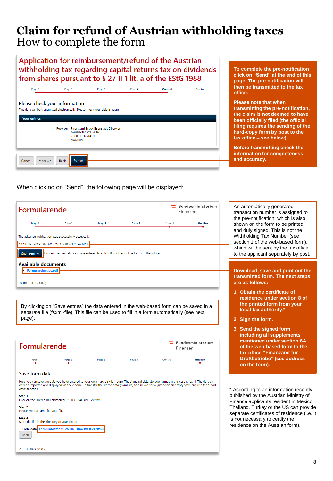### Application for reimbursement/refund of the Austrian withholding tax regarding capital returns tax on dividends from shares pursuant to § 27 II 1 lit. a of the EStG 1988



**To complete the pre-notification click on "Send" at the end of this page. The pre-notification will then be transmitted to the tax office.**

**Please note that when transmitting the pre-notification, the claim is not deemed to have been officially filed (the official filing requires the sending of the hard-copy form by post to the tax office – see below).**

**Before transmitting check the information for completeness and accuracy.**

When clicking on "Send", the following page will be displayed:

| Formularende                                                         |                                                                                                                                                                                                                                                                                                         |        |                               |         | Bundesministerium<br>Finanzen | An automatically generated<br>transaction number is assigned to                         |  |
|----------------------------------------------------------------------|---------------------------------------------------------------------------------------------------------------------------------------------------------------------------------------------------------------------------------------------------------------------------------------------------------|--------|-------------------------------|---------|-------------------------------|-----------------------------------------------------------------------------------------|--|
| Page 1                                                               | Page 2                                                                                                                                                                                                                                                                                                  | Page 3 | Page 4                        | Control | finalize                      | the pre-notification, which is also<br>shown on the form to be printed                  |  |
|                                                                      |                                                                                                                                                                                                                                                                                                         |        |                               |         |                               | and duly signed. This is not the                                                        |  |
|                                                                      | The advance notification was successfully accepted.                                                                                                                                                                                                                                                     |        |                               |         |                               | Withholding Tax Number (see<br>section 1 of the web-based form),                        |  |
|                                                                      | ABZ-DIAG-2019-88gDWuh2zkC56BCxoFCnPw1411                                                                                                                                                                                                                                                                |        |                               |         |                               | which will be sent by the tax office                                                    |  |
| <b>Save entries</b>                                                  | ou can use the data you have entered to auto-fill-in other online forms in the future.                                                                                                                                                                                                                  |        |                               |         |                               | to the applicant separately by post.                                                    |  |
| Available documents                                                  |                                                                                                                                                                                                                                                                                                         |        |                               |         |                               |                                                                                         |  |
| · Formulareingabe.pdf                                                |                                                                                                                                                                                                                                                                                                         |        |                               |         |                               | Download, save and print out the<br>transmitted form. The next steps                    |  |
| S-RD-DIAG (v1.0.2)                                                   |                                                                                                                                                                                                                                                                                                         |        |                               |         |                               | are as follows:                                                                         |  |
|                                                                      |                                                                                                                                                                                                                                                                                                         |        |                               |         |                               | 1. Obtain the certificate of                                                            |  |
|                                                                      |                                                                                                                                                                                                                                                                                                         |        |                               |         |                               | residence under section 8 of<br>the printed form from your                              |  |
|                                                                      | By clicking on "Save entries" the data entered in the web-based form can be saved in a<br>separate file (fsxml-file). This file can be used to fill in a form automatically (see next                                                                                                                   |        |                               |         |                               | local tax authority.*                                                                   |  |
| page).                                                               |                                                                                                                                                                                                                                                                                                         |        |                               |         |                               | 2. Sign the form.                                                                       |  |
|                                                                      |                                                                                                                                                                                                                                                                                                         |        |                               |         |                               | 3. Send the signed form<br>including all supplements                                    |  |
| Formularende                                                         |                                                                                                                                                                                                                                                                                                         |        | Bundesministerium<br>Finanzen |         |                               | mentioned under section 6A<br>of the web-based form to the<br>tax office "Finanzamt für |  |
| Page 1                                                               | Page                                                                                                                                                                                                                                                                                                    | Page 3 | Page 4                        | Control | finalize                      | <b>Großbetriebe"</b> (see address                                                       |  |
|                                                                      |                                                                                                                                                                                                                                                                                                         |        |                               |         |                               | on the form).                                                                           |  |
| Save form data                                                       |                                                                                                                                                                                                                                                                                                         |        |                               |         |                               |                                                                                         |  |
| data" function.                                                      | Here you can save the data you have entered to your own hard disk for reuse. The standard data storage format in this case is fsxml. The data can<br>only be imported and displayed via the e-form. To transfer the stored data (fsxml file) to a new e-form, just open an empty form and use the "Load |        |                               |         |                               | * According to an information recently                                                  |  |
| Step 1                                                               | Click on the link 'Formulardaten zu ZS-RD-DIAG (v1.0.2).fsxml'.                                                                                                                                                                                                                                         |        |                               |         |                               | published by the Austrian Ministry of<br>Finance applicants resident in Mexico,         |  |
| Step 2<br>Please enter a name for your file.                         |                                                                                                                                                                                                                                                                                                         |        |                               |         |                               | Thailand, Turkey or the US can provide                                                  |  |
| Step <sub>3</sub><br>Store the file in the directory of your choice. |                                                                                                                                                                                                                                                                                                         |        |                               |         |                               | separate certificates of residence (i.e. it<br>is not necessary to certify the          |  |
|                                                                      | Form data: Formulardaten zu ZS-RD-DIAG (v1.0.2).fsxml                                                                                                                                                                                                                                                   |        |                               |         |                               | residence on the Austrian form).                                                        |  |
| <b>Back</b>                                                          |                                                                                                                                                                                                                                                                                                         |        |                               |         |                               |                                                                                         |  |
|                                                                      |                                                                                                                                                                                                                                                                                                         |        |                               |         |                               |                                                                                         |  |
| ZS-RD-DIAG (v1.0.2)                                                  |                                                                                                                                                                                                                                                                                                         |        |                               |         |                               |                                                                                         |  |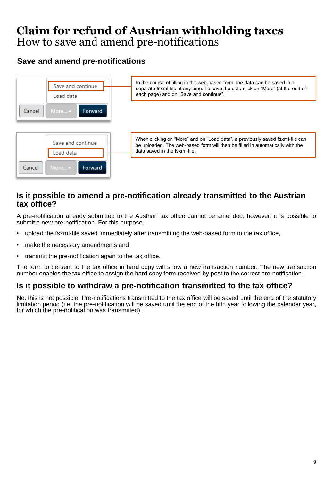## **Claim for refund of Austrian withholding taxes** How to save and amend pre-notifications

## **Save and amend pre-notifications**



### **Is it possible to amend a pre-notification already transmitted to the Austrian tax office?**

A pre-notification already submitted to the Austrian tax office cannot be amended, however, it is possible to submit a new pre-notification. For this purpose

- upload the fsxml-file saved immediately after transmitting the web-based form to the tax office,
- make the necessary amendments and
- transmit the pre-notification again to the tax office.

The form to be sent to the tax office in hard copy will show a new transaction number. The new transaction number enables the tax office to assign the hard copy form received by post to the correct pre-notification.

### **Is it possible to withdraw a pre-notification transmitted to the tax office?**

No, this is not possible. Pre-notifications transmitted to the tax office will be saved until the end of the statutory limitation period (i.e. the pre-notification will be saved until the end of the fifth year following the calendar year, for which the pre-notification was transmitted).